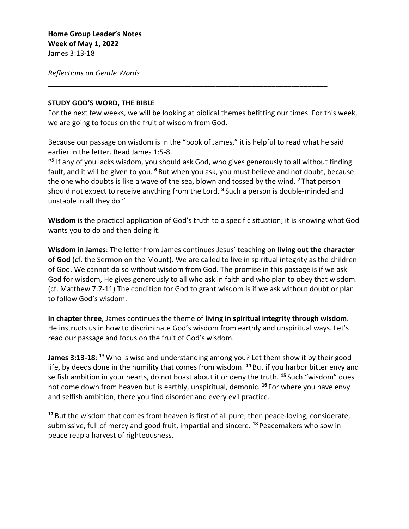*Reflections on Gentle Words*

## **STUDY GOD'S WORD, THE BIBLE**

For the next few weeks, we will be looking at biblical themes befitting our times. For this week, we are going to focus on the fruit of wisdom from God.

Because our passage on wisdom is in the "book of James," it is helpful to read what he said earlier in the letter. Read James 1:5-8.

\_\_\_\_\_\_\_\_\_\_\_\_\_\_\_\_\_\_\_\_\_\_\_\_\_\_\_\_\_\_\_\_\_\_\_\_\_\_\_\_\_\_\_\_\_\_\_\_\_\_\_\_\_\_\_\_\_\_\_\_\_\_\_\_\_\_\_\_\_\_

 $\frac{45}{5}$  If any of you lacks wisdom, you should ask God, who gives generously to all without finding fault, and it will be given to you. **<sup>6</sup>** But when you ask, you must believe and not doubt, because the one who doubts is like a wave of the sea, blown and tossed by the wind. **<sup>7</sup>** That person should not expect to receive anything from the Lord. **<sup>8</sup>** Such a person is double-minded and unstable in all they do."

**Wisdom** is the practical application of God's truth to a specific situation; it is knowing what God wants you to do and then doing it.

**Wisdom in James**: The letter from James continues Jesus' teaching on **living out the character of God** (cf. the Sermon on the Mount). We are called to live in spiritual integrity as the children of God. We cannot do so without wisdom from God. The promise in this passage is if we ask God for wisdom, He gives generously to all who ask in faith and who plan to obey that wisdom. (cf. Matthew 7:7-11) The condition for God to grant wisdom is if we ask without doubt or plan to follow God's wisdom.

**In chapter three**, James continues the theme of **living in spiritual integrity through wisdom**. He instructs us in how to discriminate God's wisdom from earthly and unspiritual ways. Let's read our passage and focus on the fruit of God's wisdom.

**James 3:13-18**: **<sup>13</sup>** Who is wise and understanding among you? Let them show it by their good life, by deeds done in the humility that comes from wisdom. **<sup>14</sup>** But if you harbor bitter envy and selfish ambition in your hearts, do not boast about it or deny the truth. **<sup>15</sup>** Such "wisdom" does not come down from heaven but is earthly, unspiritual, demonic. **<sup>16</sup>** For where you have envy and selfish ambition, there you find disorder and every evil practice.

**<sup>17</sup>** But the wisdom that comes from heaven is first of all pure; then peace-loving, considerate, submissive, full of mercy and good fruit, impartial and sincere. **<sup>18</sup>** Peacemakers who sow in peace reap a harvest of righteousness.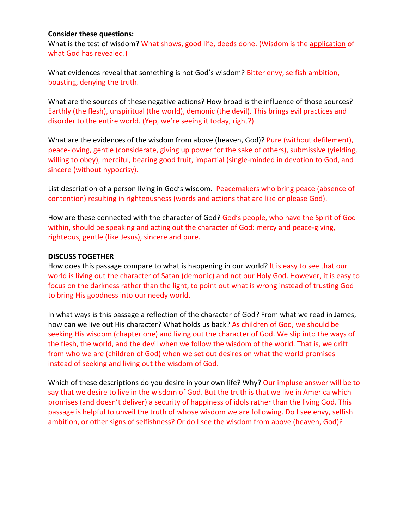## **Consider these questions:**

What is the test of wisdom? What shows, good life, deeds done. (Wisdom is the application of what God has revealed.)

What evidences reveal that something is not God's wisdom? Bitter envy, selfish ambition, boasting, denying the truth.

What are the sources of these negative actions? How broad is the influence of those sources? Earthly (the flesh), unspiritual (the world), demonic (the devil). This brings evil practices and disorder to the entire world. (Yep, we're seeing it today, right?)

What are the evidences of the wisdom from above (heaven, God)? Pure (without defilement), peace-loving, gentle (considerate, giving up power for the sake of others), submissive (yielding, willing to obey), merciful, bearing good fruit, impartial (single-minded in devotion to God, and sincere (without hypocrisy).

List description of a person living in God's wisdom. Peacemakers who bring peace (absence of contention) resulting in righteousness (words and actions that are like or please God).

How are these connected with the character of God? God's people, who have the Spirit of God within, should be speaking and acting out the character of God: mercy and peace-giving, righteous, gentle (like Jesus), sincere and pure.

## **DISCUSS TOGETHER**

How does this passage compare to what is happening in our world? It is easy to see that our world is living out the character of Satan (demonic) and not our Holy God. However, it is easy to focus on the darkness rather than the light, to point out what is wrong instead of trusting God to bring His goodness into our needy world.

In what ways is this passage a reflection of the character of God? From what we read in James, how can we live out His character? What holds us back? As children of God, we should be seeking His wisdom (chapter one) and living out the character of God. We slip into the ways of the flesh, the world, and the devil when we follow the wisdom of the world. That is, we drift from who we are (children of God) when we set out desires on what the world promises instead of seeking and living out the wisdom of God.

Which of these descriptions do you desire in your own life? Why? Our impluse answer will be to say that we desire to live in the wisdom of God. But the truth is that we live in America which promises (and doesn't deliver) a security of happiness of idols rather than the living God. This passage is helpful to unveil the truth of whose wisdom we are following. Do I see envy, selfish ambition, or other signs of selfishness? Or do I see the wisdom from above (heaven, God)?